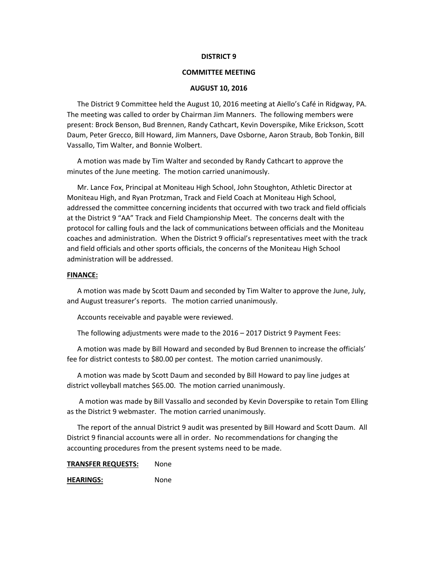#### **DISTRICT 9**

#### **COMMITTEE MEETING**

#### **AUGUST 10, 2016**

The District 9 Committee held the August 10, 2016 meeting at Aiello's Café in Ridgway, PA. The meeting was called to order by Chairman Jim Manners. The following members were present: Brock Benson, Bud Brennen, Randy Cathcart, Kevin Doverspike, Mike Erickson, Scott Daum, Peter Grecco, Bill Howard, Jim Manners, Dave Osborne, Aaron Straub, Bob Tonkin, Bill Vassallo, Tim Walter, and Bonnie Wolbert.

A motion was made by Tim Walter and seconded by Randy Cathcart to approve the minutes of the June meeting. The motion carried unanimously.

Mr. Lance Fox, Principal at Moniteau High School, John Stoughton, Athletic Director at Moniteau High, and Ryan Protzman, Track and Field Coach at Moniteau High School, addressed the committee concerning incidents that occurred with two track and field officials at the District 9 "AA" Track and Field Championship Meet. The concerns dealt with the protocol for calling fouls and the lack of communications between officials and the Moniteau coaches and administration. When the District 9 official's representatives meet with the track and field officials and other sports officials, the concerns of the Moniteau High School administration will be addressed.

#### **FINANCE:**

A motion was made by Scott Daum and seconded by Tim Walter to approve the June, July, and August treasurer's reports. The motion carried unanimously.

Accounts receivable and payable were reviewed.

The following adjustments were made to the 2016 – 2017 District 9 Payment Fees:

A motion was made by Bill Howard and seconded by Bud Brennen to increase the officials' fee for district contests to \$80.00 per contest. The motion carried unanimously.

A motion was made by Scott Daum and seconded by Bill Howard to pay line judges at district volleyball matches \$65.00. The motion carried unanimously.

 A motion was made by Bill Vassallo and seconded by Kevin Doverspike to retain Tom Elling as the District 9 webmaster. The motion carried unanimously.

The report of the annual District 9 audit was presented by Bill Howard and Scott Daum. All District 9 financial accounts were all in order. No recommendations for changing the accounting procedures from the present systems need to be made.

### **TRANSFER REQUESTS:** None

**HEARINGS:** None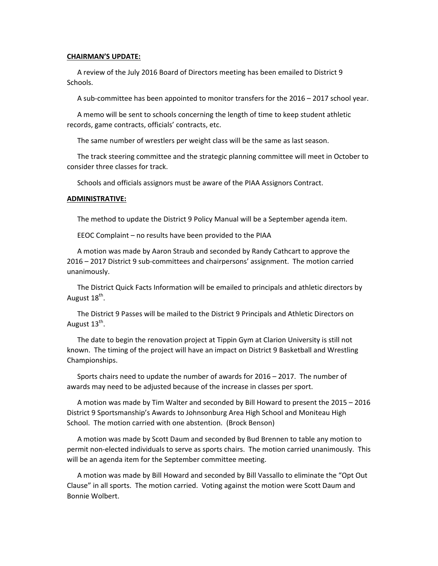#### **CHAIRMAN'S UPDATE:**

A review of the July 2016 Board of Directors meeting has been emailed to District 9 Schools.

A sub‐committee has been appointed to monitor transfers for the 2016 – 2017 school year.

A memo will be sent to schools concerning the length of time to keep student athletic records, game contracts, officials' contracts, etc.

The same number of wrestlers per weight class will be the same as last season.

The track steering committee and the strategic planning committee will meet in October to consider three classes for track.

Schools and officials assignors must be aware of the PIAA Assignors Contract.

#### **ADMINISTRATIVE:**

The method to update the District 9 Policy Manual will be a September agenda item.

EEOC Complaint – no results have been provided to the PIAA

A motion was made by Aaron Straub and seconded by Randy Cathcart to approve the 2016 – 2017 District 9 sub‐committees and chairpersons' assignment. The motion carried unanimously.

The District Quick Facts Information will be emailed to principals and athletic directors by August 18<sup>th</sup>.

The District 9 Passes will be mailed to the District 9 Principals and Athletic Directors on August  $13^{th}$ .

The date to begin the renovation project at Tippin Gym at Clarion University is still not known. The timing of the project will have an impact on District 9 Basketball and Wrestling Championships.

Sports chairs need to update the number of awards for 2016 – 2017. The number of awards may need to be adjusted because of the increase in classes per sport.

A motion was made by Tim Walter and seconded by Bill Howard to present the 2015 – 2016 District 9 Sportsmanship's Awards to Johnsonburg Area High School and Moniteau High School. The motion carried with one abstention. (Brock Benson)

A motion was made by Scott Daum and seconded by Bud Brennen to table any motion to permit non‐elected individuals to serve as sports chairs. The motion carried unanimously. This will be an agenda item for the September committee meeting.

A motion was made by Bill Howard and seconded by Bill Vassallo to eliminate the "Opt Out Clause" in all sports. The motion carried. Voting against the motion were Scott Daum and Bonnie Wolbert.